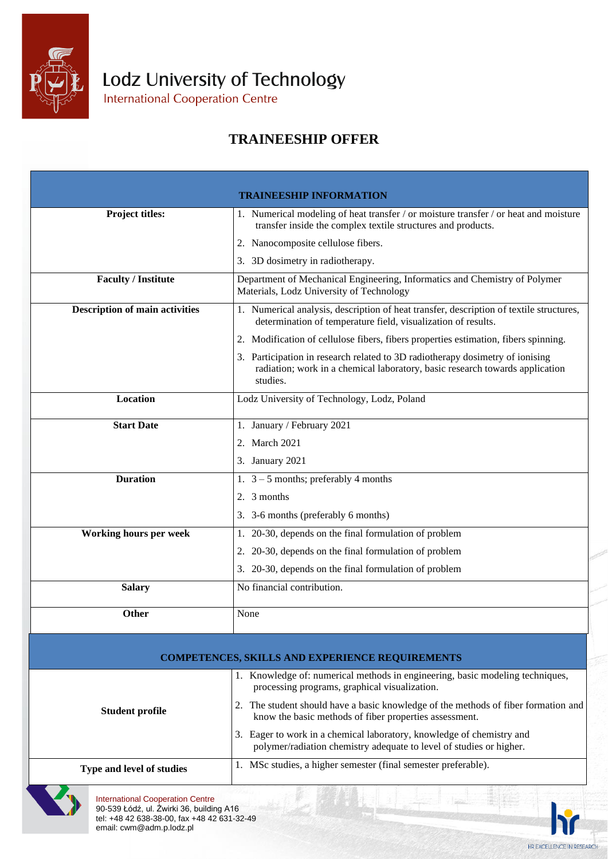

Lodz University of Technology

International Cooperation Centre

## **TRAINEESHIP OFFER**

|                                       | <b>TRAINEESHIP INFORMATION</b>                                                                                                                                            |  |  |
|---------------------------------------|---------------------------------------------------------------------------------------------------------------------------------------------------------------------------|--|--|
| <b>Project titles:</b>                | 1. Numerical modeling of heat transfer / or moisture transfer / or heat and moisture<br>transfer inside the complex textile structures and products.                      |  |  |
|                                       | 2. Nanocomposite cellulose fibers.                                                                                                                                        |  |  |
|                                       | 3. 3D dosimetry in radiotherapy.                                                                                                                                          |  |  |
| <b>Faculty / Institute</b>            | Department of Mechanical Engineering, Informatics and Chemistry of Polymer<br>Materials, Lodz University of Technology                                                    |  |  |
| <b>Description of main activities</b> | 1. Numerical analysis, description of heat transfer, description of textile structures,<br>determination of temperature field, visualization of results.                  |  |  |
|                                       | 2. Modification of cellulose fibers, fibers properties estimation, fibers spinning.                                                                                       |  |  |
|                                       | 3. Participation in research related to 3D radiotherapy dosimetry of ionising<br>radiation; work in a chemical laboratory, basic research towards application<br>studies. |  |  |
| Location                              | Lodz University of Technology, Lodz, Poland                                                                                                                               |  |  |
| <b>Start Date</b>                     | 1. January / February 2021                                                                                                                                                |  |  |
|                                       | 2. March 2021                                                                                                                                                             |  |  |
|                                       | 3. January 2021                                                                                                                                                           |  |  |
| <b>Duration</b>                       | 1. $3 - 5$ months; preferably 4 months                                                                                                                                    |  |  |
|                                       | 2. 3 months                                                                                                                                                               |  |  |
|                                       | 3. 3-6 months (preferably 6 months)                                                                                                                                       |  |  |
| <b>Working hours per week</b>         | 1. 20-30, depends on the final formulation of problem                                                                                                                     |  |  |
|                                       | 2. 20-30, depends on the final formulation of problem                                                                                                                     |  |  |
|                                       | 3. 20-30, depends on the final formulation of problem                                                                                                                     |  |  |
| <b>Salary</b>                         | No financial contribution.                                                                                                                                                |  |  |
| <b>Other</b>                          | None                                                                                                                                                                      |  |  |
|                                       |                                                                                                                                                                           |  |  |
|                                       | <b>COMPETENCES, SKILLS AND EXPERIENCE REQUIREMENTS</b>                                                                                                                    |  |  |
|                                       | 1. Knowledge of: numerical methods in engineering, basic modeling techniques,<br>processing programs, graphical visualization.                                            |  |  |
| <b>Student profile</b>                | 2. The student should have a basic knowledge of the methods of fiber formation and<br>know the basic methods of fiber properties assessment.                              |  |  |
|                                       | 3. Eager to work in a chemical laboratory, knowledge of chemistry and<br>polymer/radiation chemistry adequate to level of studies or higher.                              |  |  |
| Type and level of studies             | 1. MSc studies, a higher semester (final semester preferable).                                                                                                            |  |  |



HR EXCELLENCE IN RESEARCH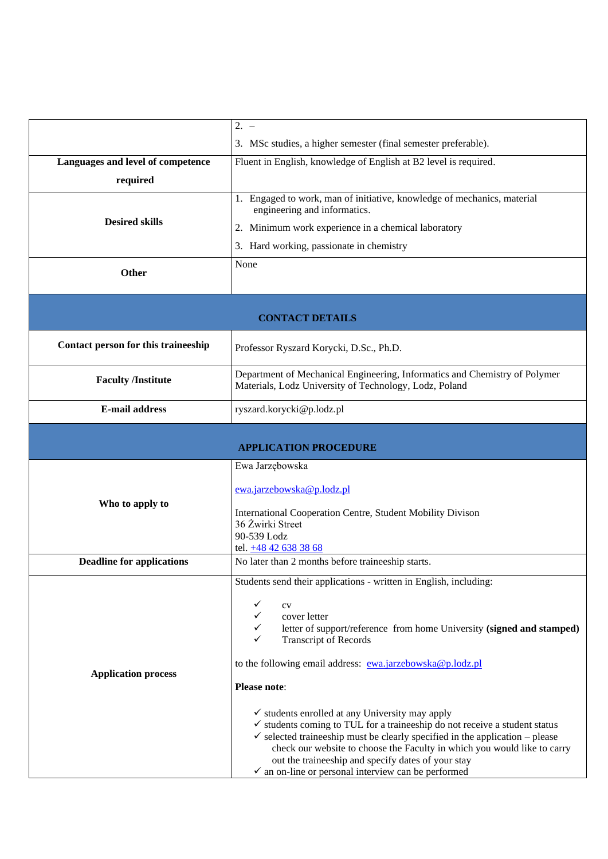|                                     | $2. -$                                                                                                                                                                                                                                                                                                                                                                           |  |
|-------------------------------------|----------------------------------------------------------------------------------------------------------------------------------------------------------------------------------------------------------------------------------------------------------------------------------------------------------------------------------------------------------------------------------|--|
|                                     | 3. MSc studies, a higher semester (final semester preferable).                                                                                                                                                                                                                                                                                                                   |  |
| Languages and level of competence   | Fluent in English, knowledge of English at B2 level is required.                                                                                                                                                                                                                                                                                                                 |  |
| required                            |                                                                                                                                                                                                                                                                                                                                                                                  |  |
|                                     | 1. Engaged to work, man of initiative, knowledge of mechanics, material<br>engineering and informatics.                                                                                                                                                                                                                                                                          |  |
| <b>Desired skills</b>               | 2. Minimum work experience in a chemical laboratory                                                                                                                                                                                                                                                                                                                              |  |
|                                     | 3. Hard working, passionate in chemistry                                                                                                                                                                                                                                                                                                                                         |  |
| <b>Other</b>                        | None                                                                                                                                                                                                                                                                                                                                                                             |  |
| <b>CONTACT DETAILS</b>              |                                                                                                                                                                                                                                                                                                                                                                                  |  |
| Contact person for this traineeship | Professor Ryszard Korycki, D.Sc., Ph.D.                                                                                                                                                                                                                                                                                                                                          |  |
| <b>Faculty /Institute</b>           | Department of Mechanical Engineering, Informatics and Chemistry of Polymer<br>Materials, Lodz University of Technology, Lodz, Poland                                                                                                                                                                                                                                             |  |
| <b>E-mail address</b>               | ryszard.korycki@p.lodz.pl                                                                                                                                                                                                                                                                                                                                                        |  |
| <b>APPLICATION PROCEDURE</b>        |                                                                                                                                                                                                                                                                                                                                                                                  |  |
|                                     | Ewa Jarzębowska                                                                                                                                                                                                                                                                                                                                                                  |  |
|                                     | ewa.jarzebowska@p.lodz.pl                                                                                                                                                                                                                                                                                                                                                        |  |
| Who to apply to                     | International Cooperation Centre, Student Mobility Divison                                                                                                                                                                                                                                                                                                                       |  |
|                                     | 36 Żwirki Street                                                                                                                                                                                                                                                                                                                                                                 |  |
|                                     | 90-539 Lodz<br>tel. +48 42 638 38 68                                                                                                                                                                                                                                                                                                                                             |  |
| <b>Deadline for applications</b>    | No later than 2 months before traineeship starts.                                                                                                                                                                                                                                                                                                                                |  |
|                                     | Students send their applications - written in English, including:                                                                                                                                                                                                                                                                                                                |  |
|                                     | cv                                                                                                                                                                                                                                                                                                                                                                               |  |
|                                     | cover letter<br>letter of support/reference from home University (signed and stamped)                                                                                                                                                                                                                                                                                            |  |
|                                     | <b>Transcript of Records</b>                                                                                                                                                                                                                                                                                                                                                     |  |
|                                     | to the following email address: ewa.jarzebowska@p.lodz.pl                                                                                                                                                                                                                                                                                                                        |  |
| <b>Application process</b>          | Please note:                                                                                                                                                                                                                                                                                                                                                                     |  |
|                                     | $\checkmark$ students enrolled at any University may apply<br>$\checkmark$ students coming to TUL for a traineeship do not receive a student status<br>$\checkmark$ selected traineeship must be clearly specified in the application – please<br>check our website to choose the Faculty in which you would like to carry<br>out the traineeship and specify dates of your stay |  |
|                                     | $\checkmark$ an on-line or personal interview can be performed                                                                                                                                                                                                                                                                                                                   |  |